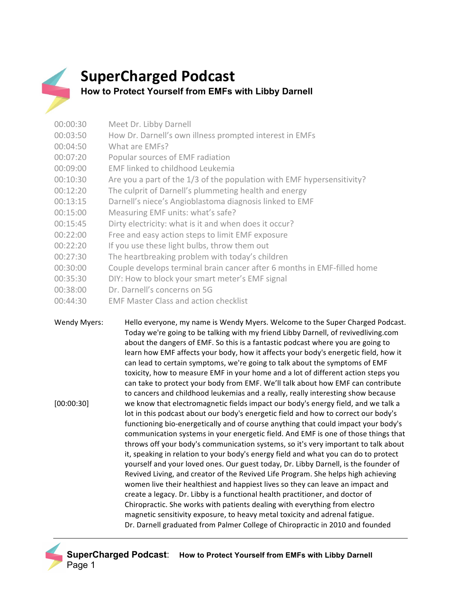

## **SuperCharged Podcast How to Protect Yourself from EMFs with Libby Darnell**

| 00:00:30 | Meet Dr. Libby Darnell                                                  |
|----------|-------------------------------------------------------------------------|
| 00:03:50 | How Dr. Darnell's own illness prompted interest in EMFs                 |
| 00:04:50 | What are FMEs?                                                          |
| 00:07:20 | Popular sources of EMF radiation                                        |
| 00:09:00 | EMF linked to childhood Leukemia                                        |
| 00:10:30 | Are you a part of the 1/3 of the population with EMF hypersensitivity?  |
| 00:12:20 | The culprit of Darnell's plummeting health and energy                   |
| 00:13:15 | Darnell's niece's Angioblastoma diagnosis linked to EMF                 |
| 00:15:00 | Measuring EMF units: what's safe?                                       |
| 00:15:45 | Dirty electricity: what is it and when does it occur?                   |
| 00:22:00 | Free and easy action steps to limit EMF exposure                        |
| 00:22:20 | If you use these light bulbs, throw them out                            |
| 00:27:30 | The heartbreaking problem with today's children                         |
| 00:30:00 | Couple develops terminal brain cancer after 6 months in EMF-filled home |
| 00:35:30 | DIY: How to block your smart meter's EMF signal                         |
| 00.20.00 | Du Dennall's san sanna an FO                                            |

- 00:38:00 Dr. Darnell's concerns on 5G
- 00:44:30 EMF Master Class and action checklist

Wendy Myers: Hello everyone, my name is Wendy Myers. Welcome to the Super Charged Podcast. Today we're going to be talking with my friend Libby Darnell, of revivedliving.com about the dangers of EMF. So this is a fantastic podcast where you are going to learn how EMF affects your body, how it affects your body's energetic field, how it can lead to certain symptoms, we're going to talk about the symptoms of EMF toxicity, how to measure EMF in your home and a lot of different action steps you can take to protect your body from EMF. We'll talk about how EMF can contribute [00:00:30] to cancers and childhood leukemias and a really, really interesting show because we know that electromagnetic fields impact our body's energy field, and we talk a lot in this podcast about our body's energetic field and how to correct our body's functioning bio-energetically and of course anything that could impact your body's communication systems in your energetic field. And EMF is one of those things that throws off your body's communication systems, so it's very important to talk about it, speaking in relation to your body's energy field and what you can do to protect yourself and your loved ones. Our guest today, Dr. Libby Darnell, is the founder of Revived Living, and creator of the Revived Life Program. She helps high achieving women live their healthiest and happiest lives so they can leave an impact and create a legacy. Dr. Libby is a functional health practitioner, and doctor of Chiropractic. She works with patients dealing with everything from electro magnetic sensitivity exposure, to heavy metal toxicity and adrenal fatigue. Dr. Darnell graduated from Palmer College of Chiropractic in 2010 and founded

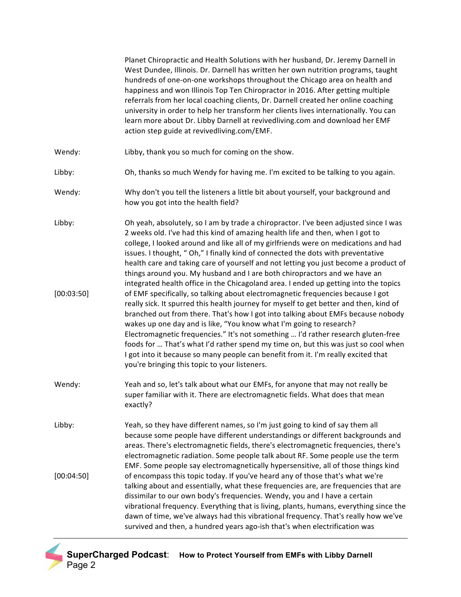Planet Chiropractic and Health Solutions with her husband, Dr. Jeremy Darnell in West Dundee, Illinois. Dr. Darnell has written her own nutrition programs, taught hundreds of one-on-one workshops throughout the Chicago area on health and happiness and won Illinois Top Ten Chiropractor in 2016. After getting multiple referrals from her local coaching clients, Dr. Darnell created her online coaching university in order to help her transform her clients lives internationally. You can learn more about Dr. Libby Darnell at revivedliving.com and download her EMF action step guide at revivedliving.com/EMF. Wendy: Libby, thank you so much for coming on the show. Libby: Oh, thanks so much Wendy for having me. I'm excited to be talking to you again. Wendy: Why don't you tell the listeners a little bit about yourself, your background and how you got into the health field? Libby: [00:03:50] Oh yeah, absolutely, so I am by trade a chiropractor. I've been adjusted since I was 2 weeks old. I've had this kind of amazing health life and then, when I got to college, I looked around and like all of my girlfriends were on medications and had issues. I thought, " Oh," I finally kind of connected the dots with preventative health care and taking care of yourself and not letting you just become a product of things around you. My husband and I are both chiropractors and we have an integrated health office in the Chicagoland area. I ended up getting into the topics of EMF specifically, so talking about electromagnetic frequencies because I got really sick. It spurred this health journey for myself to get better and then, kind of branched out from there. That's how I got into talking about EMFs because nobody wakes up one day and is like, "You know what I'm going to research? Electromagnetic frequencies." It's not something ... I'd rather research gluten-free foods for ... That's what I'd rather spend my time on, but this was just so cool when I got into it because so many people can benefit from it. I'm really excited that you're bringing this topic to your listeners. Wendy: Yeah and so, let's talk about what our EMFs, for anyone that may not really be super familiar with it. There are electromagnetic fields. What does that mean exactly? Libby: [00:04:50] Yeah, so they have different names, so I'm just going to kind of say them all because some people have different understandings or different backgrounds and areas. There's electromagnetic fields, there's electromagnetic frequencies, there's electromagnetic radiation. Some people talk about RF. Some people use the term EMF. Some people say electromagnetically hypersensitive, all of those things kind of encompass this topic today. If you've heard any of those that's what we're talking about and essentially, what these frequencies are, are frequencies that are dissimilar to our own body's frequencies. Wendy, you and I have a certain vibrational frequency. Everything that is living, plants, humans, everything since the dawn of time, we've always had this vibrational frequency. That's really how we've survived and then, a hundred years ago-ish that's when electrification was

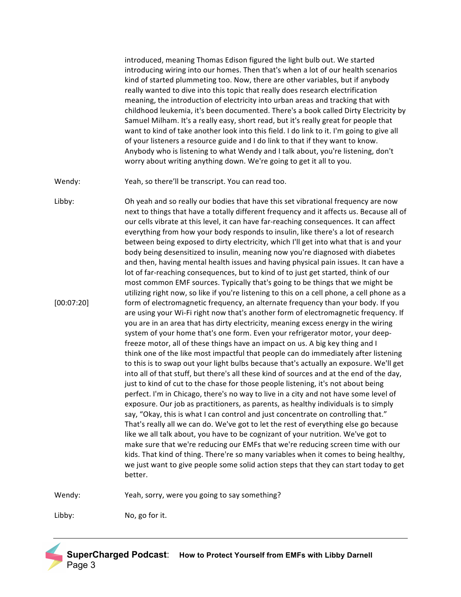introduced, meaning Thomas Edison figured the light bulb out. We started introducing wiring into our homes. Then that's when a lot of our health scenarios kind of started plummeting too. Now, there are other variables, but if anybody really wanted to dive into this topic that really does research electrification meaning, the introduction of electricity into urban areas and tracking that with childhood leukemia, it's been documented. There's a book called Dirty Electricity by Samuel Milham. It's a really easy, short read, but it's really great for people that want to kind of take another look into this field. I do link to it. I'm going to give all of your listeners a resource guide and I do link to that if they want to know. Anybody who is listening to what Wendy and I talk about, you're listening, don't worry about writing anything down. We're going to get it all to you.

Wendy: Yeah, so there'll be transcript. You can read too.

Libby: [00:07:20] Oh yeah and so really our bodies that have this set vibrational frequency are now next to things that have a totally different frequency and it affects us. Because all of our cells vibrate at this level, it can have far-reaching consequences. It can affect everything from how your body responds to insulin, like there's a lot of research between being exposed to dirty electricity, which I'll get into what that is and your body being desensitized to insulin, meaning now you're diagnosed with diabetes and then, having mental health issues and having physical pain issues. It can have a lot of far-reaching consequences, but to kind of to just get started, think of our most common EMF sources. Typically that's going to be things that we might be utilizing right now, so like if you're listening to this on a cell phone, a cell phone as a form of electromagnetic frequency, an alternate frequency than your body. If you are using your Wi-Fi right now that's another form of electromagnetic frequency. If you are in an area that has dirty electricity, meaning excess energy in the wiring system of your home that's one form. Even your refrigerator motor, your deepfreeze motor, all of these things have an impact on us. A big key thing and I think one of the like most impactful that people can do immediately after listening to this is to swap out your light bulbs because that's actually an exposure. We'll get into all of that stuff, but there's all these kind of sources and at the end of the day, just to kind of cut to the chase for those people listening, it's not about being perfect. I'm in Chicago, there's no way to live in a city and not have some level of exposure. Our job as practitioners, as parents, as healthy individuals is to simply say, "Okay, this is what I can control and just concentrate on controlling that." That's really all we can do. We've got to let the rest of everything else go because like we all talk about, you have to be cognizant of your nutrition. We've got to make sure that we're reducing our EMFs that we're reducing screen time with our kids. That kind of thing. There're so many variables when it comes to being healthy, we just want to give people some solid action steps that they can start today to get better.

Wendy: Yeah, sorry, were you going to say something?

Libby: No, go for it.

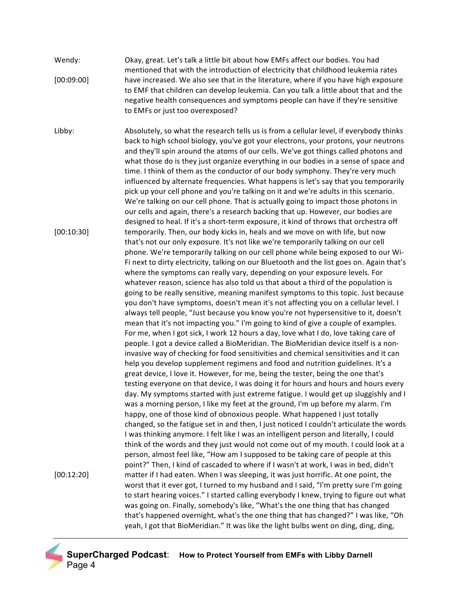Wendy: [00:09:00] Okay, great. Let's talk a little bit about how EMFs affect our bodies. You had mentioned that with the introduction of electricity that childhood leukemia rates have increased. We also see that in the literature, where if you have high exposure to EMF that children can develop leukemia. Can you talk a little about that and the negative health consequences and symptoms people can have if they're sensitive to EMFs or just too overexposed?

Libby: [00:10:30] Absolutely, so what the research tells us is from a cellular level, if everybody thinks back to high school biology, you've got your electrons, your protons, your neutrons and they'll spin around the atoms of our cells. We've got things called photons and what those do is they just organize everything in our bodies in a sense of space and time. I think of them as the conductor of our body symphony. They're very much influenced by alternate frequencies. What happens is let's say that you temporarily pick up your cell phone and you're talking on it and we're adults in this scenario. We're talking on our cell phone. That is actually going to impact those photons in our cells and again, there's a research backing that up. However, our bodies are designed to heal. If it's a short-term exposure, it kind of throws that orchestra off temporarily. Then, our body kicks in, heals and we move on with life, but now that's not our only exposure. It's not like we're temporarily talking on our cell phone. We're temporarily talking on our cell phone while being exposed to our Wi-Fi next to dirty electricity, talking on our Bluetooth and the list goes on. Again that's where the symptoms can really vary, depending on your exposure levels. For whatever reason, science has also told us that about a third of the population is going to be really sensitive, meaning manifest symptoms to this topic. Just because you don't have symptoms, doesn't mean it's not affecting you on a cellular level. I always tell people, "Just because you know you're not hypersensitive to it, doesn't mean that it's not impacting you." I'm going to kind of give a couple of examples. For me, when I got sick, I work 12 hours a day, love what I do, love taking care of people. I got a device called a BioMeridian. The BioMeridian device itself is a noninvasive way of checking for food sensitivities and chemical sensitivities and it can help you develop supplement regimens and food and nutrition guidelines. It's a great device, I love it. However, for me, being the tester, being the one that's testing everyone on that device, I was doing it for hours and hours and hours every day. My symptoms started with just extreme fatigue. I would get up sluggishly and I was a morning person, I like my feet at the ground, I'm up before my alarm. I'm happy, one of those kind of obnoxious people. What happened I just totally [00:12:20] changed, so the fatigue set in and then, I just noticed I couldn't articulate the words I was thinking anymore. I felt like I was an intelligent person and literally, I could think of the words and they just would not come out of my mouth. I could look at a person, almost feel like, "How am I supposed to be taking care of people at this point?" Then, I kind of cascaded to where if I wasn't at work, I was in bed, didn't matter if I had eaten. When I was sleeping, it was just horrific. At one point, the worst that it ever got, I turned to my husband and I said, "I'm pretty sure I'm going to start hearing voices." I started calling everybody I knew, trying to figure out what was going on. Finally, somebody's like, "What's the one thing that has changed that's happened overnight, what's the one thing that has changed?" I was like, "Oh yeah, I got that BioMeridian." It was like the light bulbs went on ding, ding, ding,

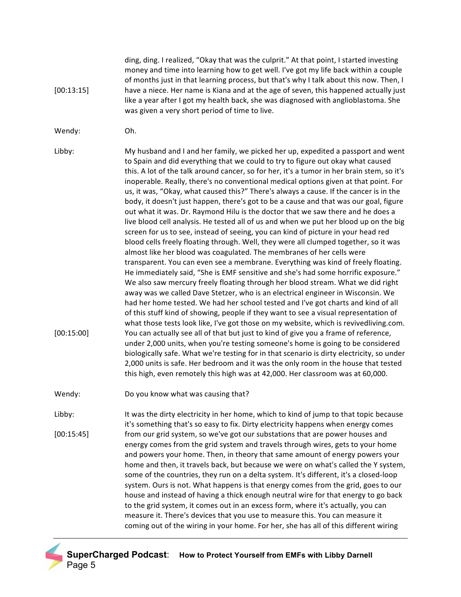ding, ding. I realized, "Okay that was the culprit." At that point, I started investing [00:13:15] money and time into learning how to get well. I've got my life back within a couple of months just in that learning process, but that's why I talk about this now. Then, I have a niece. Her name is Kiana and at the age of seven, this happened actually just like a year after I got my health back, she was diagnosed with anglioblastoma. She was given a very short period of time to live.

- Wendy: Oh.
- Libby: My husband and I and her family, we picked her up, expedited a passport and went to Spain and did everything that we could to try to figure out okay what caused this. A lot of the talk around cancer, so for her, it's a tumor in her brain stem, so it's inoperable. Really, there's no conventional medical options given at that point. For us, it was, "Okay, what caused this?" There's always a cause. If the cancer is in the body, it doesn't just happen, there's got to be a cause and that was our goal, figure out what it was. Dr. Raymond Hilu is the doctor that we saw there and he does a live blood cell analysis. He tested all of us and when we put her blood up on the big screen for us to see, instead of seeing, you can kind of picture in your head red blood cells freely floating through. Well, they were all clumped together, so it was almost like her blood was coagulated. The membranes of her cells were transparent. You can even see a membrane. Everything was kind of freely floating. He immediately said, "She is EMF sensitive and she's had some horrific exposure." We also saw mercury freely floating through her blood stream. What we did right [00:15:00] away was we called Dave Stetzer, who is an electrical engineer in Wisconsin. We had her home tested. We had her school tested and I've got charts and kind of all of this stuff kind of showing, people if they want to see a visual representation of what those tests look like, I've got those on my website, which is revivedliving.com. You can actually see all of that but just to kind of give you a frame of reference, under 2,000 units, when you're testing someone's home is going to be considered biologically safe. What we're testing for in that scenario is dirty electricity, so under 2,000 units is safe. Her bedroom and it was the only room in the house that tested this high, even remotely this high was at 42,000. Her classroom was at 60,000.
- Wendy: Do you know what was causing that?
- Libby: [00:15:45] It was the dirty electricity in her home, which to kind of jump to that topic because it's something that's so easy to fix. Dirty electricity happens when energy comes from our grid system, so we've got our substations that are power houses and energy comes from the grid system and travels through wires, gets to your home and powers your home. Then, in theory that same amount of energy powers your home and then, it travels back, but because we were on what's called the Y system, some of the countries, they run on a delta system. It's different, it's a closed-loop system. Ours is not. What happens is that energy comes from the grid, goes to our house and instead of having a thick enough neutral wire for that energy to go back to the grid system, it comes out in an excess form, where it's actually, you can measure it. There's devices that you use to measure this. You can measure it coming out of the wiring in your home. For her, she has all of this different wiring

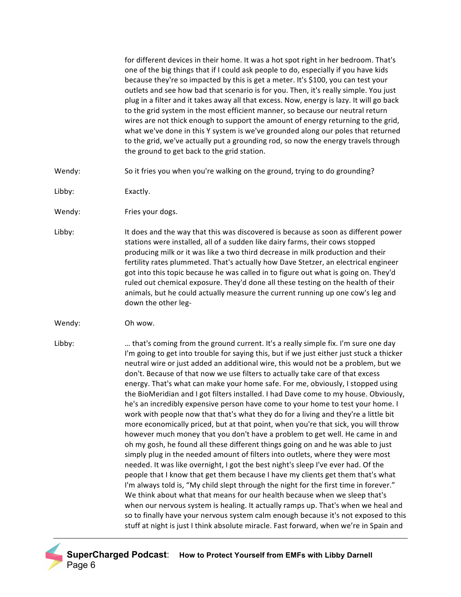for different devices in their home. It was a hot spot right in her bedroom. That's one of the big things that if I could ask people to do, especially if you have kids because they're so impacted by this is get a meter. It's \$100, you can test your outlets and see how bad that scenario is for you. Then, it's really simple. You just plug in a filter and it takes away all that excess. Now, energy is lazy. It will go back to the grid system in the most efficient manner, so because our neutral return wires are not thick enough to support the amount of energy returning to the grid, what we've done in this Y system is we've grounded along our poles that returned to the grid, we've actually put a grounding rod, so now the energy travels through the ground to get back to the grid station.

- Wendy: So it fries you when you're walking on the ground, trying to do grounding?
- Libby: Exactly.
- Wendy: Fries your dogs.
- Libby: It does and the way that this was discovered is because as soon as different power stations were installed, all of a sudden like dairy farms, their cows stopped producing milk or it was like a two third decrease in milk production and their fertility rates plummeted. That's actually how Dave Stetzer, an electrical engineer got into this topic because he was called in to figure out what is going on. They'd ruled out chemical exposure. They'd done all these testing on the health of their animals, but he could actually measure the current running up one cow's leg and down the other leg-
- Wendy: Oh wow.
- Libby: … that's coming from the ground current. It's a really simple fix. I'm sure one day I'm going to get into trouble for saying this, but if we just either just stuck a thicker neutral wire or just added an additional wire, this would not be a problem, but we don't. Because of that now we use filters to actually take care of that excess energy. That's what can make your home safe. For me, obviously, I stopped using the BioMeridian and I got filters installed. I had Dave come to my house. Obviously, he's an incredibly expensive person have come to your home to test your home. I work with people now that that's what they do for a living and they're a little bit more economically priced, but at that point, when you're that sick, you will throw however much money that you don't have a problem to get well. He came in and oh my gosh, he found all these different things going on and he was able to just simply plug in the needed amount of filters into outlets, where they were most needed. It was like overnight, I got the best night's sleep I've ever had. Of the people that I know that get them because I have my clients get them that's what I'm always told is, "My child slept through the night for the first time in forever." We think about what that means for our health because when we sleep that's when our nervous system is healing. It actually ramps up. That's when we heal and so to finally have your nervous system calm enough because it's not exposed to this stuff at night is just I think absolute miracle. Fast forward, when we're in Spain and

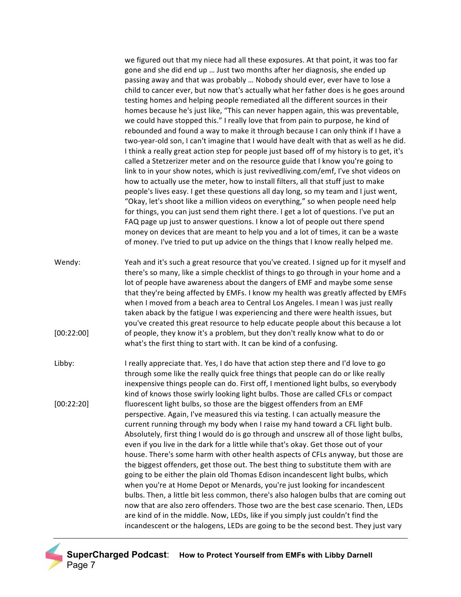we figured out that my niece had all these exposures. At that point, it was too far gone and she did end up ... Just two months after her diagnosis, she ended up passing away and that was probably ... Nobody should ever, ever have to lose a child to cancer ever, but now that's actually what her father does is he goes around testing homes and helping people remediated all the different sources in their homes because he's just like, "This can never happen again, this was preventable, we could have stopped this." I really love that from pain to purpose, he kind of rebounded and found a way to make it through because I can only think if I have a two-year-old son, I can't imagine that I would have dealt with that as well as he did. I think a really great action step for people just based off of my history is to get, it's called a Stetzerizer meter and on the resource guide that I know you're going to link to in your show notes, which is just revivedliving.com/emf, I've shot videos on how to actually use the meter, how to install filters, all that stuff just to make people's lives easy. I get these questions all day long, so my team and I just went, "Okay, let's shoot like a million videos on everything," so when people need help for things, you can just send them right there. I get a lot of questions. I've put an FAQ page up just to answer questions. I know a lot of people out there spend money on devices that are meant to help you and a lot of times, it can be a waste of money. I've tried to put up advice on the things that I know really helped me.

- Wendy: [00:22:00] Yeah and it's such a great resource that you've created. I signed up for it myself and there's so many, like a simple checklist of things to go through in your home and a lot of people have awareness about the dangers of EMF and maybe some sense that they're being affected by EMFs. I know my health was greatly affected by EMFs when I moved from a beach area to Central Los Angeles. I mean I was just really taken aback by the fatigue I was experiencing and there were health issues, but you've created this great resource to help educate people about this because a lot of people, they know it's a problem, but they don't really know what to do or what's the first thing to start with. It can be kind of a confusing.
- Libby: [00:22:20] I really appreciate that. Yes, I do have that action step there and I'd love to go through some like the really quick free things that people can do or like really inexpensive things people can do. First off, I mentioned light bulbs, so everybody kind of knows those swirly looking light bulbs. Those are called CFLs or compact fluorescent light bulbs, so those are the biggest offenders from an EMF perspective. Again, I've measured this via testing. I can actually measure the current running through my body when I raise my hand toward a CFL light bulb. Absolutely, first thing I would do is go through and unscrew all of those light bulbs, even if you live in the dark for a little while that's okay. Get those out of your house. There's some harm with other health aspects of CFLs anyway, but those are the biggest offenders, get those out. The best thing to substitute them with are going to be either the plain old Thomas Edison incandescent light bulbs, which when you're at Home Depot or Menards, you're just looking for incandescent bulbs. Then, a little bit less common, there's also halogen bulbs that are coming out now that are also zero offenders. Those two are the best case scenario. Then, LEDs are kind of in the middle. Now, LEDs, like if you simply just couldn't find the incandescent or the halogens, LEDs are going to be the second best. They just vary

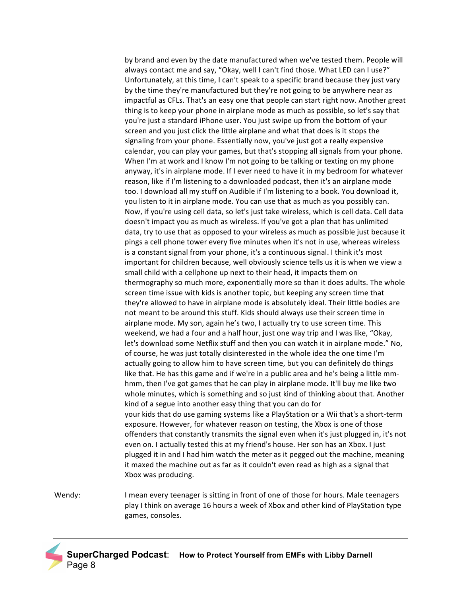by brand and even by the date manufactured when we've tested them. People will always contact me and say, "Okay, well I can't find those. What LED can I use?" Unfortunately, at this time, I can't speak to a specific brand because they just vary by the time they're manufactured but they're not going to be anywhere near as impactful as CFLs. That's an easy one that people can start right now. Another great thing is to keep your phone in airplane mode as much as possible, so let's say that you're just a standard iPhone user. You just swipe up from the bottom of your screen and you just click the little airplane and what that does is it stops the signaling from your phone. Essentially now, you've just got a really expensive calendar, you can play your games, but that's stopping all signals from your phone. When I'm at work and I know I'm not going to be talking or texting on my phone anyway, it's in airplane mode. If I ever need to have it in my bedroom for whatever reason, like if I'm listening to a downloaded podcast, then it's an airplane mode too. I download all my stuff on Audible if I'm listening to a book. You download it, you listen to it in airplane mode. You can use that as much as you possibly can. Now, if you're using cell data, so let's just take wireless, which is cell data. Cell data doesn't impact you as much as wireless. If you've got a plan that has unlimited data, try to use that as opposed to your wireless as much as possible just because it pings a cell phone tower every five minutes when it's not in use, whereas wireless is a constant signal from your phone, it's a continuous signal. I think it's most important for children because, well obviously science tells us it is when we view a small child with a cellphone up next to their head, it impacts them on thermography so much more, exponentially more so than it does adults. The whole screen time issue with kids is another topic, but keeping any screen time that they're allowed to have in airplane mode is absolutely ideal. Their little bodies are not meant to be around this stuff. Kids should always use their screen time in airplane mode. My son, again he's two, I actually try to use screen time. This weekend, we had a four and a half hour, just one way trip and I was like, "Okay, let's download some Netflix stuff and then you can watch it in airplane mode." No, of course, he was just totally disinterested in the whole idea the one time I'm actually going to allow him to have screen time, but you can definitely do things like that. He has this game and if we're in a public area and he's being a little mmhmm, then I've got games that he can play in airplane mode. It'll buy me like two whole minutes, which is something and so just kind of thinking about that. Another kind of a segue into another easy thing that you can do for your kids that do use gaming systems like a PlayStation or a Wii that's a short-term exposure. However, for whatever reason on testing, the Xbox is one of those offenders that constantly transmits the signal even when it's just plugged in, it's not even on. I actually tested this at my friend's house. Her son has an Xbox. I just plugged it in and I had him watch the meter as it pegged out the machine, meaning it maxed the machine out as far as it couldn't even read as high as a signal that Xbox was producing.

Wendy: I mean every teenager is sitting in front of one of those for hours. Male teenagers play I think on average 16 hours a week of Xbox and other kind of PlayStation type games, consoles.

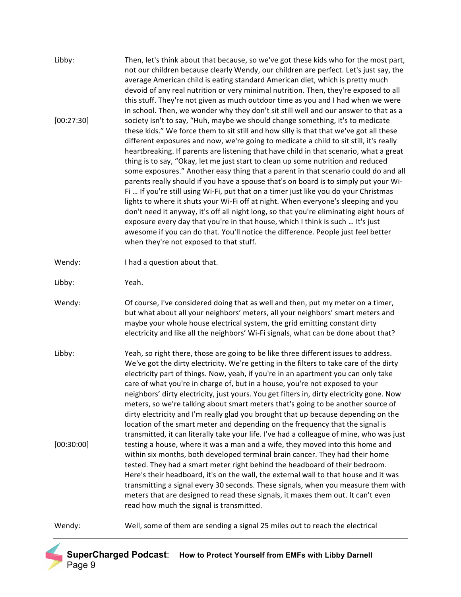| Libby:     | Then, let's think about that because, so we've got these kids who for the most part,<br>not our children because clearly Wendy, our children are perfect. Let's just say, the<br>average American child is eating standard American diet, which is pretty much<br>devoid of any real nutrition or very minimal nutrition. Then, they're exposed to all<br>this stuff. They're not given as much outdoor time as you and I had when we were<br>in school. Then, we wonder why they don't sit still well and our answer to that as a                                                                                                                                                                                                                                                                                                                                                                                                                                                                                                                                                                                          |
|------------|-----------------------------------------------------------------------------------------------------------------------------------------------------------------------------------------------------------------------------------------------------------------------------------------------------------------------------------------------------------------------------------------------------------------------------------------------------------------------------------------------------------------------------------------------------------------------------------------------------------------------------------------------------------------------------------------------------------------------------------------------------------------------------------------------------------------------------------------------------------------------------------------------------------------------------------------------------------------------------------------------------------------------------------------------------------------------------------------------------------------------------|
| [00:27:30] | society isn't to say, "Huh, maybe we should change something, it's to medicate<br>these kids." We force them to sit still and how silly is that that we've got all these<br>different exposures and now, we're going to medicate a child to sit still, it's really<br>heartbreaking. If parents are listening that have child in that scenario, what a great<br>thing is to say, "Okay, let me just start to clean up some nutrition and reduced<br>some exposures." Another easy thing that a parent in that scenario could do and all<br>parents really should if you have a spouse that's on board is to simply put your Wi-<br>Fi  If you're still using Wi-Fi, put that on a timer just like you do your Christmas<br>lights to where it shuts your Wi-Fi off at night. When everyone's sleeping and you<br>don't need it anyway, it's off all night long, so that you're eliminating eight hours of<br>exposure every day that you're in that house, which I think is such  It's just<br>awesome if you can do that. You'll notice the difference. People just feel better<br>when they're not exposed to that stuff. |
| Wendy:     | I had a question about that.                                                                                                                                                                                                                                                                                                                                                                                                                                                                                                                                                                                                                                                                                                                                                                                                                                                                                                                                                                                                                                                                                                |
| Libby:     | Yeah.                                                                                                                                                                                                                                                                                                                                                                                                                                                                                                                                                                                                                                                                                                                                                                                                                                                                                                                                                                                                                                                                                                                       |
| Wendy:     | Of course, I've considered doing that as well and then, put my meter on a timer,<br>but what about all your neighbors' meters, all your neighbors' smart meters and<br>maybe your whole house electrical system, the grid emitting constant dirty<br>electricity and like all the neighbors' Wi-Fi signals, what can be done about that?                                                                                                                                                                                                                                                                                                                                                                                                                                                                                                                                                                                                                                                                                                                                                                                    |
| Libby:     | Yeah, so right there, those are going to be like three different issues to address.<br>We've got the dirty electricity. We're getting in the filters to take care of the dirty<br>electricity part of things. Now, yeah, if you're in an apartment you can only take<br>care of what you're in charge of, but in a house, you're not exposed to your<br>neighbors' dirty electricity, just yours. You get filters in, dirty electricity gone. Now<br>meters, so we're talking about smart meters that's going to be another source of<br>dirty electricity and I'm really glad you brought that up because depending on the<br>location of the smart meter and depending on the frequency that the signal is<br>transmitted, it can literally take your life. I've had a colleague of mine, who was just                                                                                                                                                                                                                                                                                                                    |
| [00:30:00] | testing a house, where it was a man and a wife, they moved into this home and<br>within six months, both developed terminal brain cancer. They had their home<br>tested. They had a smart meter right behind the headboard of their bedroom.<br>Here's their headboard, it's on the wall, the external wall to that house and it was<br>transmitting a signal every 30 seconds. These signals, when you measure them with<br>meters that are designed to read these signals, it maxes them out. It can't even<br>read how much the signal is transmitted.                                                                                                                                                                                                                                                                                                                                                                                                                                                                                                                                                                   |
| Wendy:     | Well, some of them are sending a signal 25 miles out to reach the electrical                                                                                                                                                                                                                                                                                                                                                                                                                                                                                                                                                                                                                                                                                                                                                                                                                                                                                                                                                                                                                                                |

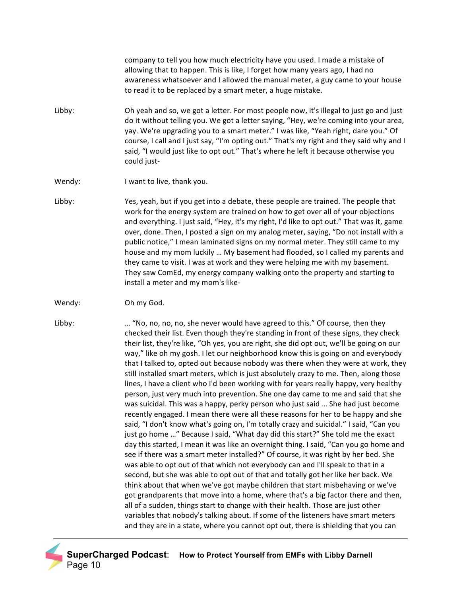company to tell you how much electricity have you used. I made a mistake of allowing that to happen. This is like, I forget how many years ago, I had no awareness whatsoever and I allowed the manual meter, a guy came to your house to read it to be replaced by a smart meter, a huge mistake.

- Libby: Oh yeah and so, we got a letter. For most people now, it's illegal to just go and just do it without telling you. We got a letter saying, "Hey, we're coming into your area, yay. We're upgrading you to a smart meter." I was like, "Yeah right, dare you." Of course, I call and I just say, "I'm opting out." That's my right and they said why and I said, "I would just like to opt out." That's where he left it because otherwise you could just-
- Wendy: I want to live, thank you.
- Libby: Yes, yeah, but if you get into a debate, these people are trained. The people that work for the energy system are trained on how to get over all of your objections and everything. I just said, "Hey, it's my right, I'd like to opt out." That was it, game over, done. Then, I posted a sign on my analog meter, saying, "Do not install with a public notice," I mean laminated signs on my normal meter. They still came to my house and my mom luckily ... My basement had flooded, so I called my parents and they came to visit. I was at work and they were helping me with my basement. They saw ComEd, my energy company walking onto the property and starting to install a meter and my mom's like-
- Wendy: Oh my God.
- 

Libby: … "No, no, no, no, she never would have agreed to this." Of course, then they checked their list. Even though they're standing in front of these signs, they check their list, they're like, "Oh yes, you are right, she did opt out, we'll be going on our way," like oh my gosh. I let our neighborhood know this is going on and everybody that I talked to, opted out because nobody was there when they were at work, they still installed smart meters, which is just absolutely crazy to me. Then, along those lines, I have a client who I'd been working with for years really happy, very healthy person, just very much into prevention. She one day came to me and said that she was suicidal. This was a happy, perky person who just said ... She had just become recently engaged. I mean there were all these reasons for her to be happy and she said, "I don't know what's going on, I'm totally crazy and suicidal." I said, "Can you just go home ..." Because I said, "What day did this start?" She told me the exact day this started, I mean it was like an overnight thing. I said, "Can you go home and see if there was a smart meter installed?" Of course, it was right by her bed. She was able to opt out of that which not everybody can and I'll speak to that in a second, but she was able to opt out of that and totally got her like her back. We think about that when we've got maybe children that start misbehaving or we've got grandparents that move into a home, where that's a big factor there and then, all of a sudden, things start to change with their health. Those are just other variables that nobody's talking about. If some of the listeners have smart meters and they are in a state, where you cannot opt out, there is shielding that you can

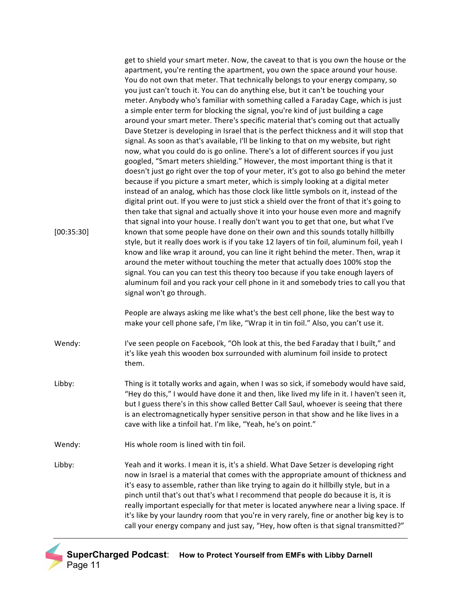| [00:35:30] | get to shield your smart meter. Now, the caveat to that is you own the house or the<br>apartment, you're renting the apartment, you own the space around your house.<br>You do not own that meter. That technically belongs to your energy company, so<br>you just can't touch it. You can do anything else, but it can't be touching your<br>meter. Anybody who's familiar with something called a Faraday Cage, which is just<br>a simple enter term for blocking the signal, you're kind of just building a cage<br>around your smart meter. There's specific material that's coming out that actually<br>Dave Stetzer is developing in Israel that is the perfect thickness and it will stop that<br>signal. As soon as that's available, I'll be linking to that on my website, but right<br>now, what you could do is go online. There's a lot of different sources if you just<br>googled, "Smart meters shielding." However, the most important thing is that it<br>doesn't just go right over the top of your meter, it's got to also go behind the meter<br>because if you picture a smart meter, which is simply looking at a digital meter<br>instead of an analog, which has those clock like little symbols on it, instead of the<br>digital print out. If you were to just stick a shield over the front of that it's going to<br>then take that signal and actually shove it into your house even more and magnify<br>that signal into your house. I really don't want you to get that one, but what I've<br>known that some people have done on their own and this sounds totally hillbilly<br>style, but it really does work is if you take 12 layers of tin foil, aluminum foil, yeah I<br>know and like wrap it around, you can line it right behind the meter. Then, wrap it<br>around the meter without touching the meter that actually does 100% stop the<br>signal. You can you can test this theory too because if you take enough layers of<br>aluminum foil and you rack your cell phone in it and somebody tries to call you that<br>signal won't go through. |
|------------|--------------------------------------------------------------------------------------------------------------------------------------------------------------------------------------------------------------------------------------------------------------------------------------------------------------------------------------------------------------------------------------------------------------------------------------------------------------------------------------------------------------------------------------------------------------------------------------------------------------------------------------------------------------------------------------------------------------------------------------------------------------------------------------------------------------------------------------------------------------------------------------------------------------------------------------------------------------------------------------------------------------------------------------------------------------------------------------------------------------------------------------------------------------------------------------------------------------------------------------------------------------------------------------------------------------------------------------------------------------------------------------------------------------------------------------------------------------------------------------------------------------------------------------------------------------------------------------------------------------------------------------------------------------------------------------------------------------------------------------------------------------------------------------------------------------------------------------------------------------------------------------------------------------------------------------------------------------------------------------------------------------------------------------------------------------------------------------------|
|            | People are always asking me like what's the best cell phone, like the best way to<br>make your cell phone safe, I'm like, "Wrap it in tin foil." Also, you can't use it.                                                                                                                                                                                                                                                                                                                                                                                                                                                                                                                                                                                                                                                                                                                                                                                                                                                                                                                                                                                                                                                                                                                                                                                                                                                                                                                                                                                                                                                                                                                                                                                                                                                                                                                                                                                                                                                                                                                   |
| Wendy:     | I've seen people on Facebook, "Oh look at this, the bed Faraday that I built," and<br>it's like yeah this wooden box surrounded with aluminum foil inside to protect<br>them.                                                                                                                                                                                                                                                                                                                                                                                                                                                                                                                                                                                                                                                                                                                                                                                                                                                                                                                                                                                                                                                                                                                                                                                                                                                                                                                                                                                                                                                                                                                                                                                                                                                                                                                                                                                                                                                                                                              |
| Libby:     | Thing is it totally works and again, when I was so sick, if somebody would have said,<br>"Hey do this," I would have done it and then, like lived my life in it. I haven't seen it,<br>but I guess there's in this show called Better Call Saul, whoever is seeing that there<br>is an electromagnetically hyper sensitive person in that show and he like lives in a<br>cave with like a tinfoil hat. I'm like, "Yeah, he's on point."                                                                                                                                                                                                                                                                                                                                                                                                                                                                                                                                                                                                                                                                                                                                                                                                                                                                                                                                                                                                                                                                                                                                                                                                                                                                                                                                                                                                                                                                                                                                                                                                                                                    |
| Wendy:     | His whole room is lined with tin foil.                                                                                                                                                                                                                                                                                                                                                                                                                                                                                                                                                                                                                                                                                                                                                                                                                                                                                                                                                                                                                                                                                                                                                                                                                                                                                                                                                                                                                                                                                                                                                                                                                                                                                                                                                                                                                                                                                                                                                                                                                                                     |
| Libby:     | Yeah and it works. I mean it is, it's a shield. What Dave Setzer is developing right<br>now in Israel is a material that comes with the appropriate amount of thickness and<br>it's easy to assemble, rather than like trying to again do it hillbilly style, but in a<br>pinch until that's out that's what I recommend that people do because it is, it is<br>really important especially for that meter is located anywhere near a living space. If<br>it's like by your laundry room that you're in very rarely, fine or another big key is to<br>call your energy company and just say, "Hey, how often is that signal transmitted?"                                                                                                                                                                                                                                                                                                                                                                                                                                                                                                                                                                                                                                                                                                                                                                                                                                                                                                                                                                                                                                                                                                                                                                                                                                                                                                                                                                                                                                                  |

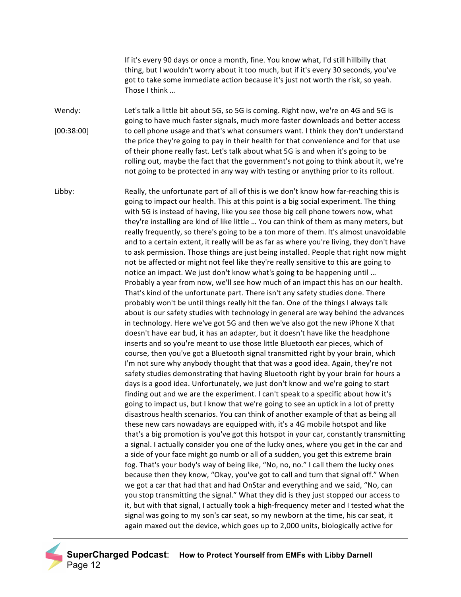If it's every 90 days or once a month, fine. You know what, I'd still hillbilly that thing, but I wouldn't worry about it too much, but if it's every 30 seconds, you've got to take some immediate action because it's just not worth the risk, so yeah. Those I think ...

Wendy: [00:38:00] Let's talk a little bit about 5G, so 5G is coming. Right now, we're on 4G and 5G is going to have much faster signals, much more faster downloads and better access to cell phone usage and that's what consumers want. I think they don't understand the price they're going to pay in their health for that convenience and for that use of their phone really fast. Let's talk about what 5G is and when it's going to be rolling out, maybe the fact that the government's not going to think about it, we're not going to be protected in any way with testing or anything prior to its rollout.

Libby: Really, the unfortunate part of all of this is we don't know how far-reaching this is going to impact our health. This at this point is a big social experiment. The thing with 5G is instead of having, like you see those big cell phone towers now, what they're installing are kind of like little ... You can think of them as many meters, but really frequently, so there's going to be a ton more of them. It's almost unavoidable and to a certain extent, it really will be as far as where you're living, they don't have to ask permission. Those things are just being installed. People that right now might not be affected or might not feel like they're really sensitive to this are going to notice an impact. We just don't know what's going to be happening until ... Probably a year from now, we'll see how much of an impact this has on our health. That's kind of the unfortunate part. There isn't any safety studies done. There probably won't be until things really hit the fan. One of the things I always talk about is our safety studies with technology in general are way behind the advances in technology. Here we've got 5G and then we've also got the new iPhone X that doesn't have ear bud, it has an adapter, but it doesn't have like the headphone inserts and so you're meant to use those little Bluetooth ear pieces, which of course, then you've got a Bluetooth signal transmitted right by your brain, which I'm not sure why anybody thought that that was a good idea. Again, they're not safety studies demonstrating that having Bluetooth right by your brain for hours a days is a good idea. Unfortunately, we just don't know and we're going to start finding out and we are the experiment. I can't speak to a specific about how it's going to impact us, but I know that we're going to see an uptick in a lot of pretty disastrous health scenarios. You can think of another example of that as being all these new cars nowadays are equipped with, it's a 4G mobile hotspot and like that's a big promotion is you've got this hotspot in your car, constantly transmitting a signal. I actually consider you one of the lucky ones, where you get in the car and a side of your face might go numb or all of a sudden, you get this extreme brain fog. That's your body's way of being like, "No, no, no." I call them the lucky ones because then they know, "Okay, you've got to call and turn that signal off." When we got a car that had that and had OnStar and everything and we said, "No, can you stop transmitting the signal." What they did is they just stopped our access to it, but with that signal, I actually took a high-frequency meter and I tested what the signal was going to my son's car seat, so my newborn at the time, his car seat, it again maxed out the device, which goes up to 2,000 units, biologically active for

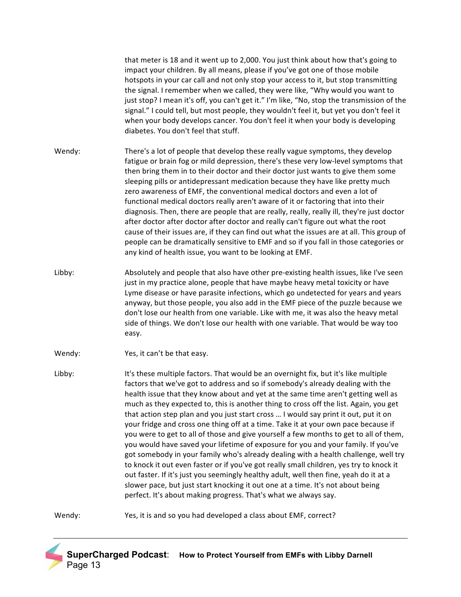that meter is 18 and it went up to 2,000. You just think about how that's going to impact your children. By all means, please if you've got one of those mobile hotspots in your car call and not only stop your access to it, but stop transmitting the signal. I remember when we called, they were like, "Why would you want to just stop? I mean it's off, you can't get it." I'm like, "No, stop the transmission of the signal." I could tell, but most people, they wouldn't feel it, but yet you don't feel it when your body develops cancer. You don't feel it when your body is developing diabetes. You don't feel that stuff.

Wendy: There's a lot of people that develop these really vague symptoms, they develop fatigue or brain fog or mild depression, there's these very low-level symptoms that then bring them in to their doctor and their doctor just wants to give them some sleeping pills or antidepressant medication because they have like pretty much zero awareness of EMF, the conventional medical doctors and even a lot of functional medical doctors really aren't aware of it or factoring that into their diagnosis. Then, there are people that are really, really, really ill, they're just doctor after doctor after doctor after doctor and really can't figure out what the root cause of their issues are, if they can find out what the issues are at all. This group of people can be dramatically sensitive to EMF and so if you fall in those categories or any kind of health issue, you want to be looking at EMF.

- Libby: a boolutely and people that also have other pre-existing health issues, like I've seen just in my practice alone, people that have maybe heavy metal toxicity or have Lyme disease or have parasite infections, which go undetected for years and years anyway, but those people, you also add in the EMF piece of the puzzle because we don't lose our health from one variable. Like with me, it was also the heavy metal side of things. We don't lose our health with one variable. That would be way too easy.
- Wendy: Yes, it can't be that easy.

Libby: It's these multiple factors. That would be an overnight fix, but it's like multiple factors that we've got to address and so if somebody's already dealing with the health issue that they know about and yet at the same time aren't getting well as much as they expected to, this is another thing to cross off the list. Again, you get that action step plan and you just start cross ... I would say print it out, put it on your fridge and cross one thing off at a time. Take it at your own pace because if you were to get to all of those and give yourself a few months to get to all of them, you would have saved your lifetime of exposure for you and your family. If you've got somebody in your family who's already dealing with a health challenge, well try to knock it out even faster or if you've got really small children, yes try to knock it out faster. If it's just you seemingly healthy adult, well then fine, yeah do it at a slower pace, but just start knocking it out one at a time. It's not about being perfect. It's about making progress. That's what we always say.

Wendy: Yes, it is and so you had developed a class about EMF, correct?